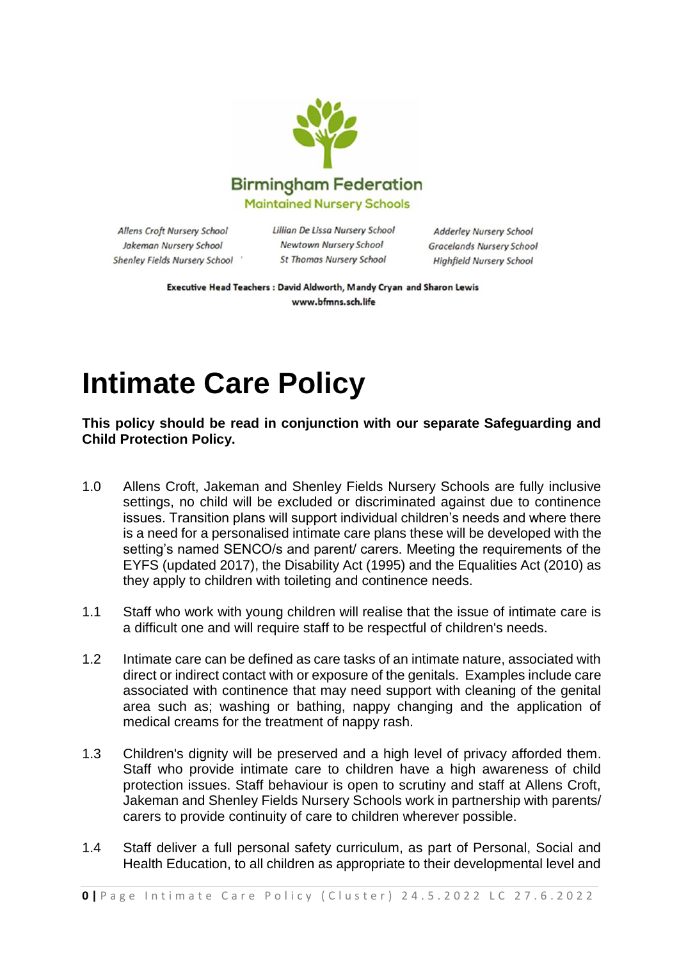

Allens Croft Nursery School Jakeman Nursery School Shenley Fields Nursery School Lillian De Lissa Nursery School **Newtown Nursery School St Thomas Nursery School** 

**Adderley Nursery School Gracelands Nursery School Highfield Nursery School** 

Executive Head Teachers : David Aldworth, Mandy Cryan and Sharon Lewis www.bfmns.sch.life

## **Intimate Care Policy**

**This policy should be read in conjunction with our separate Safeguarding and Child Protection Policy.**

- 1.0 Allens Croft, Jakeman and Shenley Fields Nursery Schools are fully inclusive settings, no child will be excluded or discriminated against due to continence issues. Transition plans will support individual children's needs and where there is a need for a personalised intimate care plans these will be developed with the setting's named SENCO/s and parent/ carers. Meeting the requirements of the EYFS (updated 2017), the Disability Act (1995) and the Equalities Act (2010) as they apply to children with toileting and continence needs.
- 1.1 Staff who work with young children will realise that the issue of intimate care is a difficult one and will require staff to be respectful of children's needs.
- 1.2 Intimate care can be defined as care tasks of an intimate nature, associated with direct or indirect contact with or exposure of the genitals. Examples include care associated with continence that may need support with cleaning of the genital area such as; washing or bathing, nappy changing and the application of medical creams for the treatment of nappy rash.
- 1.3 Children's dignity will be preserved and a high level of privacy afforded them. Staff who provide intimate care to children have a high awareness of child protection issues. Staff behaviour is open to scrutiny and staff at Allens Croft, Jakeman and Shenley Fields Nursery Schools work in partnership with parents/ carers to provide continuity of care to children wherever possible.
- 1.4 Staff deliver a full personal safety curriculum, as part of Personal, Social and Health Education, to all children as appropriate to their developmental level and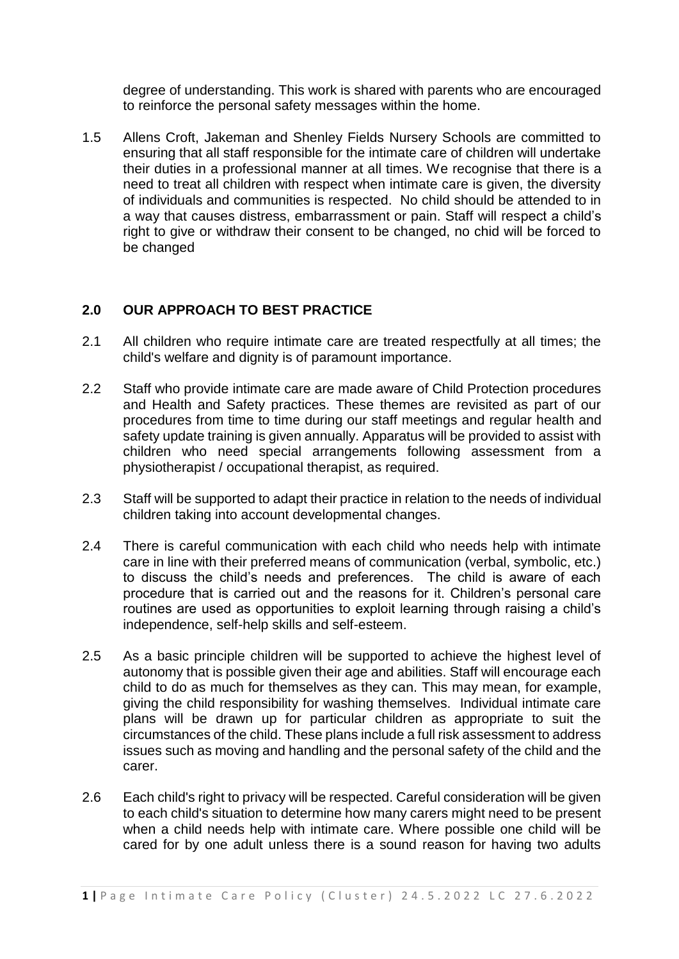degree of understanding. This work is shared with parents who are encouraged to reinforce the personal safety messages within the home.

1.5 Allens Croft, Jakeman and Shenley Fields Nursery Schools are committed to ensuring that all staff responsible for the intimate care of children will undertake their duties in a professional manner at all times. We recognise that there is a need to treat all children with respect when intimate care is given, the diversity of individuals and communities is respected. No child should be attended to in a way that causes distress, embarrassment or pain. Staff will respect a child's right to give or withdraw their consent to be changed, no chid will be forced to be changed

## **2.0 OUR APPROACH TO BEST PRACTICE**

- 2.1 All children who require intimate care are treated respectfully at all times; the child's welfare and dignity is of paramount importance.
- 2.2 Staff who provide intimate care are made aware of Child Protection procedures and Health and Safety practices. These themes are revisited as part of our procedures from time to time during our staff meetings and regular health and safety update training is given annually. Apparatus will be provided to assist with children who need special arrangements following assessment from a physiotherapist / occupational therapist, as required.
- 2.3 Staff will be supported to adapt their practice in relation to the needs of individual children taking into account developmental changes.
- 2.4 There is careful communication with each child who needs help with intimate care in line with their preferred means of communication (verbal, symbolic, etc.) to discuss the child's needs and preferences. The child is aware of each procedure that is carried out and the reasons for it. Children's personal care routines are used as opportunities to exploit learning through raising a child's independence, self-help skills and self-esteem.
- 2.5 As a basic principle children will be supported to achieve the highest level of autonomy that is possible given their age and abilities. Staff will encourage each child to do as much for themselves as they can. This may mean, for example, giving the child responsibility for washing themselves. Individual intimate care plans will be drawn up for particular children as appropriate to suit the circumstances of the child. These plans include a full risk assessment to address issues such as moving and handling and the personal safety of the child and the carer.
- 2.6 Each child's right to privacy will be respected. Careful consideration will be given to each child's situation to determine how many carers might need to be present when a child needs help with intimate care. Where possible one child will be cared for by one adult unless there is a sound reason for having two adults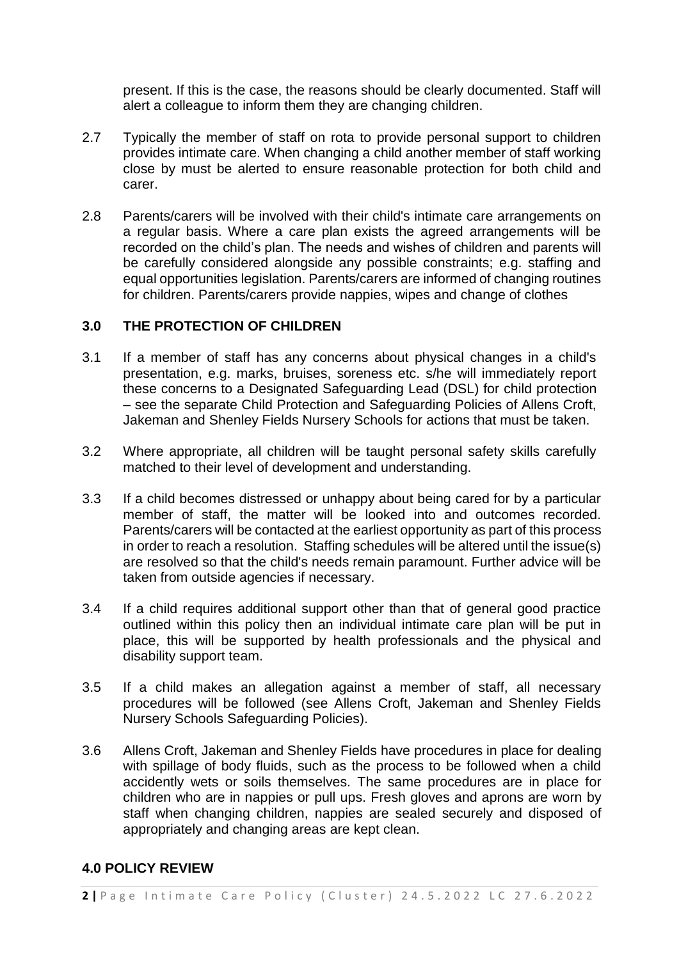present. If this is the case, the reasons should be clearly documented. Staff will alert a colleague to inform them they are changing children.

- 2.7 Typically the member of staff on rota to provide personal support to children provides intimate care. When changing a child another member of staff working close by must be alerted to ensure reasonable protection for both child and carer.
- 2.8 Parents/carers will be involved with their child's intimate care arrangements on a regular basis. Where a care plan exists the agreed arrangements will be recorded on the child's plan. The needs and wishes of children and parents will be carefully considered alongside any possible constraints; e.g. staffing and equal opportunities legislation. Parents/carers are informed of changing routines for children. Parents/carers provide nappies, wipes and change of clothes

## **3.0 THE PROTECTION OF CHILDREN**

- 3.1 If a member of staff has any concerns about physical changes in a child's presentation, e.g. marks, bruises, soreness etc. s/he will immediately report these concerns to a Designated Safeguarding Lead (DSL) for child protection – see the separate Child Protection and Safeguarding Policies of Allens Croft, Jakeman and Shenley Fields Nursery Schools for actions that must be taken.
- 3.2 Where appropriate, all children will be taught personal safety skills carefully matched to their level of development and understanding.
- 3.3 If a child becomes distressed or unhappy about being cared for by a particular member of staff, the matter will be looked into and outcomes recorded. Parents/carers will be contacted at the earliest opportunity as part of this process in order to reach a resolution. Staffing schedules will be altered until the issue(s) are resolved so that the child's needs remain paramount. Further advice will be taken from outside agencies if necessary.
- 3.4 If a child requires additional support other than that of general good practice outlined within this policy then an individual intimate care plan will be put in place, this will be supported by health professionals and the physical and disability support team.
- 3.5 If a child makes an allegation against a member of staff, all necessary procedures will be followed (see Allens Croft, Jakeman and Shenley Fields Nursery Schools Safeguarding Policies).
- 3.6 Allens Croft, Jakeman and Shenley Fields have procedures in place for dealing with spillage of body fluids, such as the process to be followed when a child accidently wets or soils themselves. The same procedures are in place for children who are in nappies or pull ups. Fresh gloves and aprons are worn by staff when changing children, nappies are sealed securely and disposed of appropriately and changing areas are kept clean.

## **4.0 POLICY REVIEW**